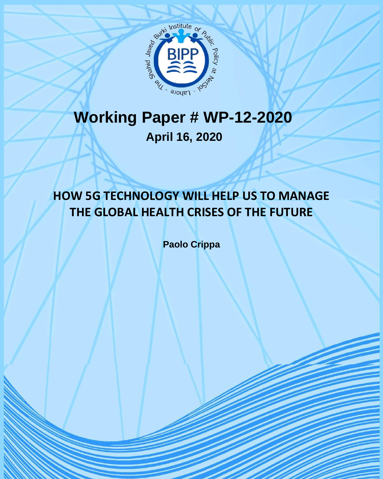

## **Working Paper # WP-12-2020 April 16, 2020**

## **HOW 5G TECHNOLOGY WILL HELP US TO MANAGE THE GLOBAL HEALTH CRISES OF THE FUTURE**

**Paolo Crippa**

BIPP Working Paper-12-2020 1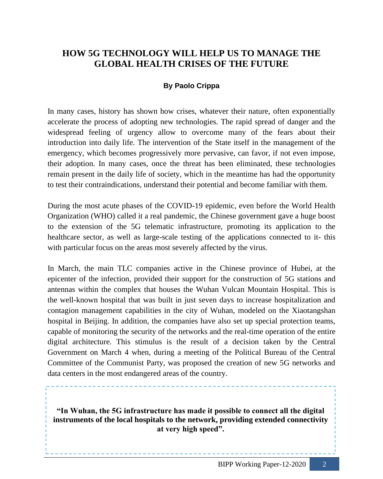## **HOW 5G TECHNOLOGY WILL HELP US TO MANAGE THE GLOBAL HEALTH CRISES OF THE FUTURE**

## **By Paolo Crippa**

In many cases, history has shown how crises, whatever their nature, often exponentially accelerate the process of adopting new technologies. The rapid spread of danger and the widespread feeling of urgency allow to overcome many of the fears about their introduction into daily life. The intervention of the State itself in the management of the emergency, which becomes progressively more pervasive, can favor, if not even impose, their adoption. In many cases, once the threat has been eliminated, these technologies remain present in the daily life of society, which in the meantime has had the opportunity to test their contraindications, understand their potential and become familiar with them.

During the most acute phases of the COVID-19 epidemic, even before the World Health Organization (WHO) called it a real pandemic, the Chinese government gave a huge boost to the extension of the 5G telematic infrastructure, promoting its application to the healthcare sector, as well as large-scale testing of the applications connected to it- this with particular focus on the areas most severely affected by the virus.

In March, the main TLC companies active in the Chinese province of Hubei, at the epicenter of the infection, provided their support for the construction of 5G stations and antennas within the complex that houses the Wuhan Vulcan Mountain Hospital. This is the well-known hospital that was built in just seven days to increase hospitalization and contagion management capabilities in the city of Wuhan, modeled on the Xiaotangshan hospital in Beijing. In addition, the companies have also set up special protection teams, capable of monitoring the security of the networks and the real-time operation of the entire digital architecture. This stimulus is the result of a decision taken by the Central Government on March 4 when, during a meeting of the Political Bureau of the Central Committee of the Communist Party, was proposed the creation of new 5G networks and data centers in the most endangered areas of the country.

**"In Wuhan, the 5G infrastructure has made it possible to connect all the digital instruments of the local hospitals to the network, providing extended connectivity at very high speed".**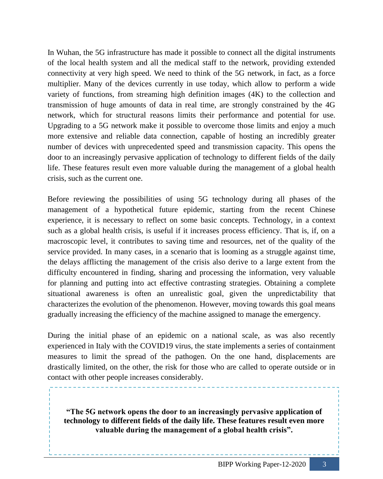In Wuhan, the 5G infrastructure has made it possible to connect all the digital instruments of the local health system and all the medical staff to the network, providing extended connectivity at very high speed. We need to think of the 5G network, in fact, as a force multiplier. Many of the devices currently in use today, which allow to perform a wide variety of functions, from streaming high definition images (4K) to the collection and transmission of huge amounts of data in real time, are strongly constrained by the 4G network, which for structural reasons limits their performance and potential for use. Upgrading to a 5G network make it possible to overcome those limits and enjoy a much more extensive and reliable data connection, capable of hosting an incredibly greater number of devices with unprecedented speed and transmission capacity. This opens the door to an increasingly pervasive application of technology to different fields of the daily life. These features result even more valuable during the management of a global health crisis, such as the current one.

Before reviewing the possibilities of using 5G technology during all phases of the management of a hypothetical future epidemic, starting from the recent Chinese experience, it is necessary to reflect on some basic concepts. Technology, in a context such as a global health crisis, is useful if it increases process efficiency. That is, if, on a macroscopic level, it contributes to saving time and resources, net of the quality of the service provided. In many cases, in a scenario that is looming as a struggle against time, the delays afflicting the management of the crisis also derive to a large extent from the difficulty encountered in finding, sharing and processing the information, very valuable for planning and putting into act effective contrasting strategies. Obtaining a complete situational awareness is often an unrealistic goal, given the unpredictability that characterizes the evolution of the phenomenon. However, moving towards this goal means gradually increasing the efficiency of the machine assigned to manage the emergency.

During the initial phase of an epidemic on a national scale, as was also recently experienced in Italy with the COVID19 virus, the state implements a series of containment measures to limit the spread of the pathogen. On the one hand, displacements are drastically limited, on the other, the risk for those who are called to operate outside or in contact with other people increases considerably.

**"The 5G network opens the door to an increasingly pervasive application of technology to different fields of the daily life. These features result even more valuable during the management of a global health crisis".**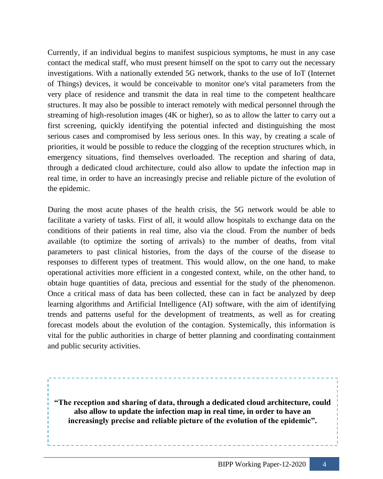Currently, if an individual begins to manifest suspicious symptoms, he must in any case contact the medical staff, who must present himself on the spot to carry out the necessary investigations. With a nationally extended 5G network, thanks to the use of IoT (Internet of Things) devices, it would be conceivable to monitor one's vital parameters from the very place of residence and transmit the data in real time to the competent healthcare structures. It may also be possible to interact remotely with medical personnel through the streaming of high-resolution images (4K or higher), so as to allow the latter to carry out a first screening, quickly identifying the potential infected and distinguishing the most serious cases and compromised by less serious ones. In this way, by creating a scale of priorities, it would be possible to reduce the clogging of the reception structures which, in emergency situations, find themselves overloaded. The reception and sharing of data, through a dedicated cloud architecture, could also allow to update the infection map in real time, in order to have an increasingly precise and reliable picture of the evolution of the epidemic.

During the most acute phases of the health crisis, the 5G network would be able to facilitate a variety of tasks. First of all, it would allow hospitals to exchange data on the conditions of their patients in real time, also via the cloud. From the number of beds available (to optimize the sorting of arrivals) to the number of deaths, from vital parameters to past clinical histories, from the days of the course of the disease to responses to different types of treatment. This would allow, on the one hand, to make operational activities more efficient in a congested context, while, on the other hand, to obtain huge quantities of data, precious and essential for the study of the phenomenon. Once a critical mass of data has been collected, these can in fact be analyzed by deep learning algorithms and Artificial Intelligence (AI) software, with the aim of identifying trends and patterns useful for the development of treatments, as well as for creating forecast models about the evolution of the contagion. Systemically, this information is vital for the public authorities in charge of better planning and coordinating containment and public security activities.

**"The reception and sharing of data, through a dedicated cloud architecture, could also allow to update the infection map in real time, in order to have an increasingly precise and reliable picture of the evolution of the epidemic".**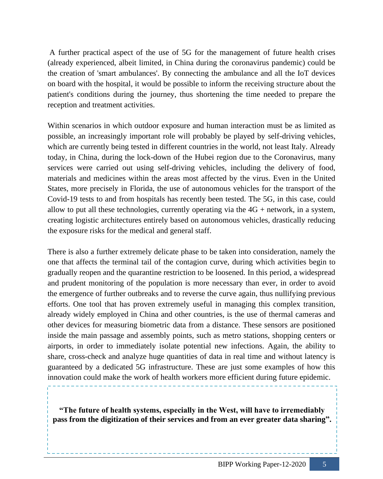A further practical aspect of the use of 5G for the management of future health crises (already experienced, albeit limited, in China during the coronavirus pandemic) could be the creation of 'smart ambulances'. By connecting the ambulance and all the IoT devices on board with the hospital, it would be possible to inform the receiving structure about the patient's conditions during the journey, thus shortening the time needed to prepare the reception and treatment activities.

Within scenarios in which outdoor exposure and human interaction must be as limited as possible, an increasingly important role will probably be played by self-driving vehicles, which are currently being tested in different countries in the world, not least Italy. Already today, in China, during the lock-down of the Hubei region due to the Coronavirus, many services were carried out using self-driving vehicles, including the delivery of food, materials and medicines within the areas most affected by the virus. Even in the United States, more precisely in Florida, the use of autonomous vehicles for the transport of the Covid-19 tests to and from hospitals has recently been tested. The 5G, in this case, could allow to put all these technologies, currently operating via the  $4G +$  network, in a system, creating logistic architectures entirely based on autonomous vehicles, drastically reducing the exposure risks for the medical and general staff.

There is also a further extremely delicate phase to be taken into consideration, namely the one that affects the terminal tail of the contagion curve, during which activities begin to gradually reopen and the quarantine restriction to be loosened. In this period, a widespread and prudent monitoring of the population is more necessary than ever, in order to avoid the emergence of further outbreaks and to reverse the curve again, thus nullifying previous efforts. One tool that has proven extremely useful in managing this complex transition, already widely employed in China and other countries, is the use of thermal cameras and other devices for measuring biometric data from a distance. These sensors are positioned inside the main passage and assembly points, such as metro stations, shopping centers or airports, in order to immediately isolate potential new infections. Again, the ability to share, cross-check and analyze huge quantities of data in real time and without latency is guaranteed by a dedicated 5G infrastructure. These are just some examples of how this innovation could make the work of health workers more efficient during future epidemic.

**"The future of health systems, especially in the West, will have to irremediably pass from the digitization of their services and from an ever greater data sharing".**